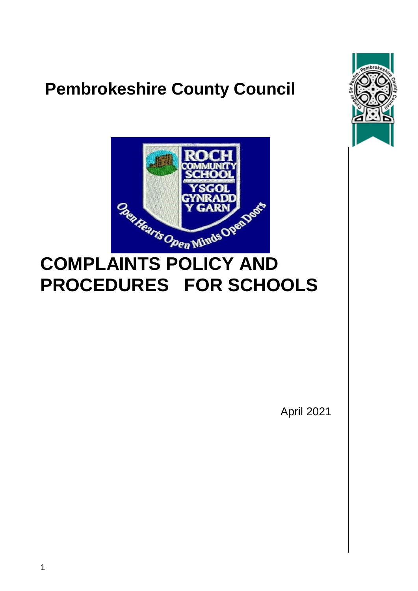## **Pembrokeshire County Council**





# **COMPLAINTS POLICY AND PROCEDURES FOR SCHOOLS**

April 2021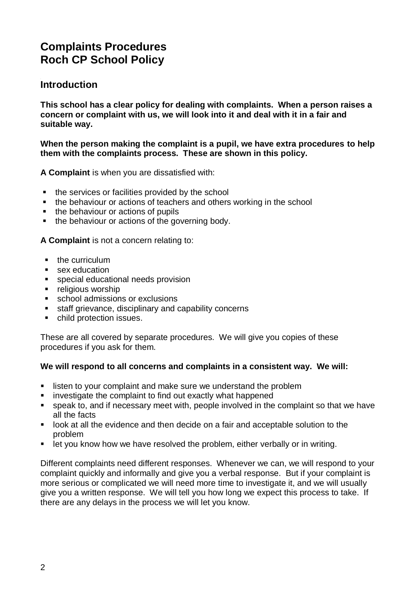## **Complaints Procedures Roch CP School Policy**

## **Introduction**

**This school has a clear policy for dealing with complaints. When a person raises a concern or complaint with us, we will look into it and deal with it in a fair and suitable way.** 

**When the person making the complaint is a pupil, we have extra procedures to help them with the complaints process. These are shown in this policy.**

**A Complaint** is when you are dissatisfied with:

- the services or facilities provided by the school
- the behaviour or actions of teachers and others working in the school
- the behaviour or actions of pupils
- the behaviour or actions of the governing body.

**A Complaint** is not a concern relating to:

- $\blacksquare$  the curriculum
- **sex education**
- special educational needs provision
- **•** religious worship
- **school admissions or exclusions**
- **staff grievance, disciplinary and capability concerns**
- child protection issues.

These are all covered by separate procedures. We will give you copies of these procedures if you ask for them.

#### **We will respond to all concerns and complaints in a consistent way. We will:**

- **EXECT** listen to your complaint and make sure we understand the problem
- **EXEDEE investigate the complaint to find out exactly what happened**
- speak to, and if necessary meet with, people involved in the complaint so that we have all the facts
- **IDOM** at all the evidence and then decide on a fair and acceptable solution to the problem
- **EXT** let you know how we have resolved the problem, either verbally or in writing.

Different complaints need different responses. Whenever we can, we will respond to your complaint quickly and informally and give you a verbal response. But if your complaint is more serious or complicated we will need more time to investigate it, and we will usually give you a written response. We will tell you how long we expect this process to take. If there are any delays in the process we will let you know.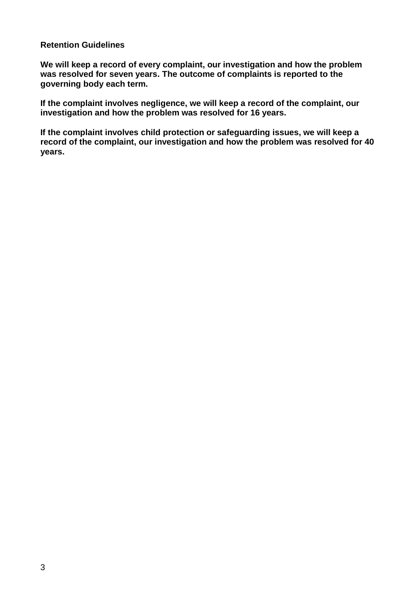#### **Retention Guidelines**

**We will keep a record of every complaint, our investigation and how the problem was resolved for seven years. The outcome of complaints is reported to the governing body each term.** 

**If the complaint involves negligence, we will keep a record of the complaint, our investigation and how the problem was resolved for 16 years.** 

**If the complaint involves child protection or safeguarding issues, we will keep a record of the complaint, our investigation and how the problem was resolved for 40 years.**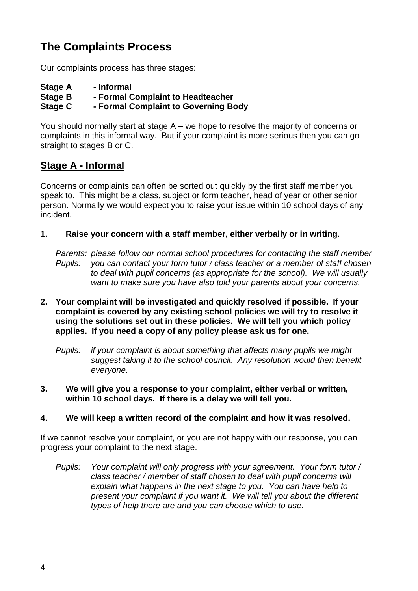## **The Complaints Process**

Our complaints process has three stages:

| <b>Stage A</b> | - Informal                           |
|----------------|--------------------------------------|
| Stage B        | - Formal Complaint to Headteacher    |
| Stage C        | - Formal Complaint to Governing Body |

You should normally start at stage A – we hope to resolve the majority of concerns or complaints in this informal way. But if your complaint is more serious then you can go straight to stages B or C.

## **Stage A - Informal**

Concerns or complaints can often be sorted out quickly by the first staff member you speak to. This might be a class, subject or form teacher, head of year or other senior person. Normally we would expect you to raise your issue within 10 school days of any incident.

### **1. Raise your concern with a staff member, either verbally or in writing.**

*Parents: please follow our normal school procedures for contacting the staff member Pupils: you can contact your form tutor / class teacher or a member of staff chosen to deal with pupil concerns (as appropriate for the school). We will usually want to make sure you have also told your parents about your concerns.*

- **2. Your complaint will be investigated and quickly resolved if possible. If your complaint is covered by any existing school policies we will try to resolve it using the solutions set out in these policies. We will tell you which policy applies. If you need a copy of any policy please ask us for one.**
	- *Pupils: if your complaint is about something that affects many pupils we might suggest taking it to the school council. Any resolution would then benefit everyone.*
- **3. We will give you a response to your complaint, either verbal or written, within 10 school days. If there is a delay we will tell you.**

#### **4. We will keep a written record of the complaint and how it was resolved.**

If we cannot resolve your complaint, or you are not happy with our response, you can progress your complaint to the next stage.

*Pupils: Your complaint will only progress with your agreement. Your form tutor / class teacher / member of staff chosen to deal with pupil concerns will explain what happens in the next stage to you. You can have help to present your complaint if you want it. We will tell you about the different types of help there are and you can choose which to use.*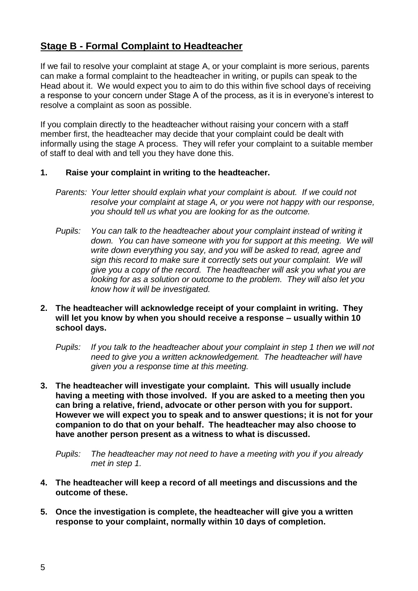## **Stage B - Formal Complaint to Headteacher**

If we fail to resolve your complaint at stage A, or your complaint is more serious, parents can make a formal complaint to the headteacher in writing, or pupils can speak to the Head about it. We would expect you to aim to do this within five school days of receiving a response to your concern under Stage A of the process, as it is in everyone's interest to resolve a complaint as soon as possible.

If you complain directly to the headteacher without raising your concern with a staff member first, the headteacher may decide that your complaint could be dealt with informally using the stage A process. They will refer your complaint to a suitable member of staff to deal with and tell you they have done this.

#### **1. Raise your complaint in writing to the headteacher.**

- *Parents: Your letter should explain what your complaint is about. If we could not resolve your complaint at stage A, or you were not happy with our response, you should tell us what you are looking for as the outcome.*
- *Pupils: You can talk to the headteacher about your complaint instead of writing it down. You can have someone with you for support at this meeting. We will write down everything you say, and you will be asked to read, agree and sign this record to make sure it correctly sets out your complaint. We will give you a copy of the record. The headteacher will ask you what you are looking for as a solution or outcome to the problem. They will also let you know how it will be investigated.*
- **2. The headteacher will acknowledge receipt of your complaint in writing. They will let you know by when you should receive a response – usually within 10 school days.**
	- *Pupils: If you talk to the headteacher about your complaint in step 1 then we will not need to give you a written acknowledgement. The headteacher will have given you a response time at this meeting.*
- **3. The headteacher will investigate your complaint. This will usually include having a meeting with those involved. If you are asked to a meeting then you can bring a relative, friend, advocate or other person with you for support. However we will expect you to speak and to answer questions; it is not for your companion to do that on your behalf. The headteacher may also choose to have another person present as a witness to what is discussed.**

*Pupils: The headteacher may not need to have a meeting with you if you already met in step 1.*

- **4. The headteacher will keep a record of all meetings and discussions and the outcome of these.**
- **5. Once the investigation is complete, the headteacher will give you a written response to your complaint, normally within 10 days of completion.**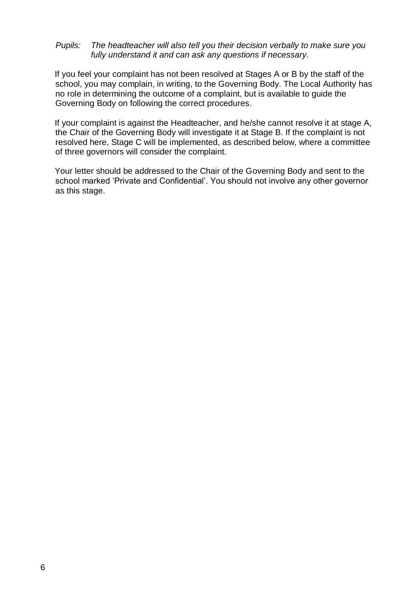#### *Pupils: The headteacher will also tell you their decision verbally to make sure you fully understand it and can ask any questions if necessary.*

If you feel your complaint has not been resolved at Stages A or B by the staff of the school, you may complain, in writing, to the Governing Body. The Local Authority has no role in determining the outcome of a complaint, but is available to guide the Governing Body on following the correct procedures*.*

If your complaint is against the Headteacher, and he/she cannot resolve it at stage A, the Chair of the Governing Body will investigate it at Stage B. If the complaint is not resolved here, Stage C will be implemented, as described below, where a committee of three governors will consider the complaint.

Your letter should be addressed to the Chair of the Governing Body and sent to the school marked 'Private and Confidential'. You should not involve any other governor as this stage.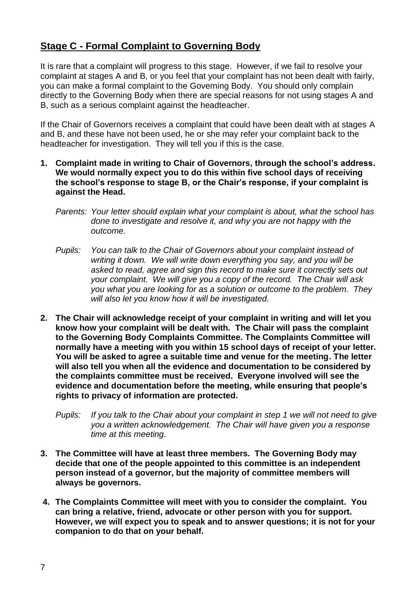## **Stage C - Formal Complaint to Governing Body**

It is rare that a complaint will progress to this stage. However, if we fail to resolve your complaint at stages A and B, or you feel that your complaint has not been dealt with fairly, you can make a formal complaint to the Governing Body. You should only complain directly to the Governing Body when there are special reasons for not using stages A and B, such as a serious complaint against the headteacher.

If the Chair of Governors receives a complaint that could have been dealt with at stages A and B, and these have not been used, he or she may refer your complaint back to the headteacher for investigation. They will tell you if this is the case.

- **1. Complaint made in writing to Chair of Governors, through the school's address. We would normally expect you to do this within five school days of receiving the school's response to stage B, or the Chair's response, if your complaint is against the Head.**
	- *Parents: Your letter should explain what your complaint is about, what the school has done to investigate and resolve it, and why you are not happy with the outcome.*
	- *Pupils: You can talk to the Chair of Governors about your complaint instead of writing it down. We will write down everything you say, and you will be asked to read, agree and sign this record to make sure it correctly sets out your complaint. We will give you a copy of the record. The Chair will ask you what you are looking for as a solution or outcome to the problem. They will also let you know how it will be investigated.*
- **2. The Chair will acknowledge receipt of your complaint in writing and will let you know how your complaint will be dealt with. The Chair will pass the complaint to the Governing Body Complaints Committee. The Complaints Committee will normally have a meeting with you within 15 school days of receipt of your letter. You will be asked to agree a suitable time and venue for the meeting. The letter will also tell you when all the evidence and documentation to be considered by the complaints committee must be received. Everyone involved will see the evidence and documentation before the meeting, while ensuring that people's rights to privacy of information are protected.**
	- *Pupils: If you talk to the Chair about your complaint in step 1 we will not need to give you a written acknowledgement. The Chair will have given you a response time at this meeting.*
- **3. The Committee will have at least three members. The Governing Body may decide that one of the people appointed to this committee is an independent person instead of a governor, but the majority of committee members will always be governors.**
- **4. The Complaints Committee will meet with you to consider the complaint. You can bring a relative, friend, advocate or other person with you for support. However, we will expect you to speak and to answer questions; it is not for your companion to do that on your behalf.**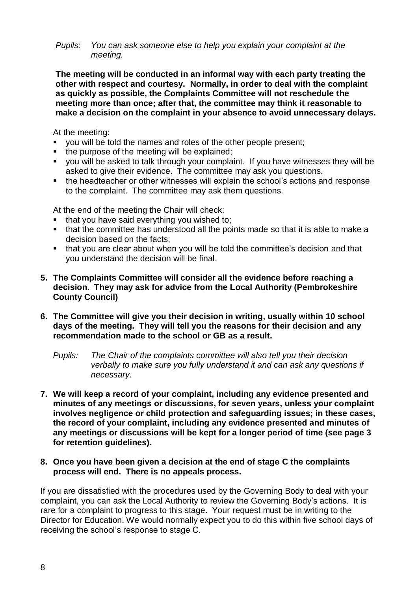#### *Pupils: You can ask someone else to help you explain your complaint at the meeting.*

**The meeting will be conducted in an informal way with each party treating the other with respect and courtesy. Normally, in order to deal with the complaint as quickly as possible, the Complaints Committee will not reschedule the meeting more than once; after that, the committee may think it reasonable to make a decision on the complaint in your absence to avoid unnecessary delays.**

At the meeting:

- you will be told the names and roles of the other people present;
- the purpose of the meeting will be explained;
- you will be asked to talk through your complaint. If you have witnesses they will be asked to give their evidence. The committee may ask you questions.
- the headteacher or other witnesses will explain the school's actions and response to the complaint. The committee may ask them questions.

At the end of the meeting the Chair will check:

- that you have said everything you wished to;
- that the committee has understood all the points made so that it is able to make a decision based on the facts:
- that you are clear about when you will be told the committee's decision and that you understand the decision will be final.
- **5. The Complaints Committee will consider all the evidence before reaching a decision. They may ask for advice from the Local Authority (Pembrokeshire County Council)**
- **6. The Committee will give you their decision in writing, usually within 10 school days of the meeting. They will tell you the reasons for their decision and any recommendation made to the school or GB as a result.**

*Pupils: The Chair of the complaints committee will also tell you their decision verbally to make sure you fully understand it and can ask any questions if necessary.*

- **7. We will keep a record of your complaint, including any evidence presented and minutes of any meetings or discussions, for seven years, unless your complaint involves negligence or child protection and safeguarding issues; in these cases, the record of your complaint, including any evidence presented and minutes of any meetings or discussions will be kept for a longer period of time (see page 3 for retention guidelines).**
- **8. Once you have been given a decision at the end of stage C the complaints process will end. There is no appeals process.**

If you are dissatisfied with the procedures used by the Governing Body to deal with your complaint, you can ask the Local Authority to review the Governing Body's actions. It is rare for a complaint to progress to this stage. Your request must be in writing to the Director for Education. We would normally expect you to do this within five school days of receiving the school's response to stage C.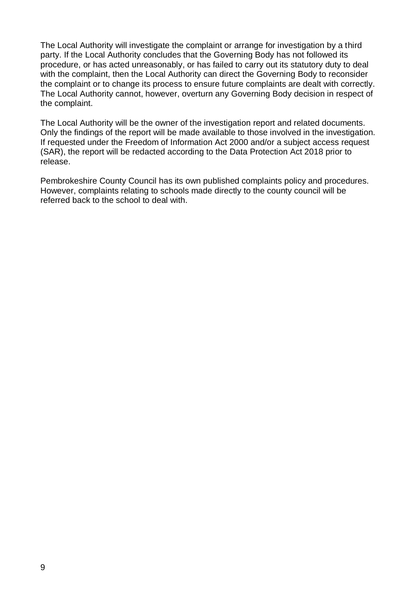The Local Authority will investigate the complaint or arrange for investigation by a third party. If the Local Authority concludes that the Governing Body has not followed its procedure, or has acted unreasonably, or has failed to carry out its statutory duty to deal with the complaint, then the Local Authority can direct the Governing Body to reconsider the complaint or to change its process to ensure future complaints are dealt with correctly. The Local Authority cannot, however, overturn any Governing Body decision in respect of the complaint.

The Local Authority will be the owner of the investigation report and related documents. Only the findings of the report will be made available to those involved in the investigation. If requested under the Freedom of Information Act 2000 and/or a subject access request (SAR), the report will be redacted according to the Data Protection Act 2018 prior to release.

Pembrokeshire County Council has its own published complaints policy and procedures. However, complaints relating to schools made directly to the county council will be referred back to the school to deal with.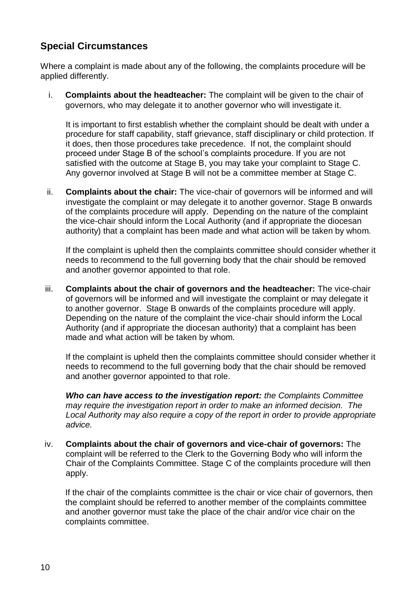## **Special Circumstances**

Where a complaint is made about any of the following, the complaints procedure will be applied differently.

i. **Complaints about the headteacher:** The complaint will be given to the chair of governors, who may delegate it to another governor who will investigate it.

It is important to first establish whether the complaint should be dealt with under a procedure for staff capability, staff grievance, staff disciplinary or child protection. If it does, then those procedures take precedence. If not, the complaint should proceed under Stage B of the school's complaints procedure. If you are not satisfied with the outcome at Stage B, you may take your complaint to Stage C. Any governor involved at Stage B will not be a committee member at Stage C.

ii. **Complaints about the chair:** The vice-chair of governors will be informed and will investigate the complaint or may delegate it to another governor. Stage B onwards of the complaints procedure will apply. Depending on the nature of the complaint the vice-chair should inform the Local Authority (and if appropriate the diocesan authority) that a complaint has been made and what action will be taken by whom.

If the complaint is upheld then the complaints committee should consider whether it needs to recommend to the full governing body that the chair should be removed and another governor appointed to that role.

iii. **Complaints about the chair of governors and the headteacher:** The vice-chair of governors will be informed and will investigate the complaint or may delegate it to another governor. Stage B onwards of the complaints procedure will apply. Depending on the nature of the complaint the vice-chair should inform the Local Authority (and if appropriate the diocesan authority) that a complaint has been made and what action will be taken by whom.

If the complaint is upheld then the complaints committee should consider whether it needs to recommend to the full governing body that the chair should be removed and another governor appointed to that role.

*Who can have access to the investigation report: the Complaints Committee may require the investigation report in order to make an informed decision. The Local Authority may also require a copy of the report in order to provide appropriate advice.* 

iv. **Complaints about the chair of governors and vice-chair of governors:** The complaint will be referred to the Clerk to the Governing Body who will inform the Chair of the Complaints Committee. Stage C of the complaints procedure will then apply.

If the chair of the complaints committee is the chair or vice chair of governors, then the complaint should be referred to another member of the complaints committee and another governor must take the place of the chair and/or vice chair on the complaints committee.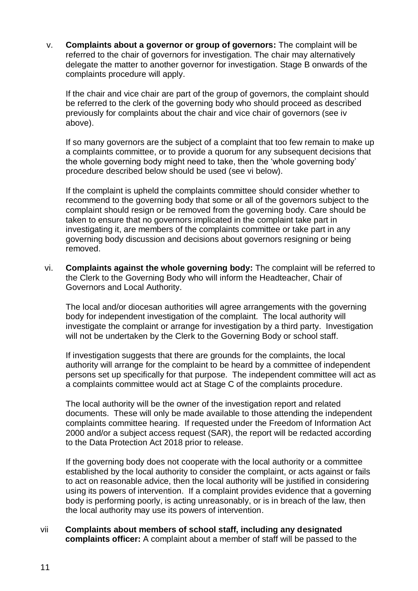v. **Complaints about a governor or group of governors:** The complaint will be referred to the chair of governors for investigation. The chair may alternatively delegate the matter to another governor for investigation. Stage B onwards of the complaints procedure will apply.

If the chair and vice chair are part of the group of governors, the complaint should be referred to the clerk of the governing body who should proceed as described previously for complaints about the chair and vice chair of governors (see iv above).

If so many governors are the subject of a complaint that too few remain to make up a complaints committee, or to provide a quorum for any subsequent decisions that the whole governing body might need to take, then the 'whole governing body' procedure described below should be used (see vi below).

If the complaint is upheld the complaints committee should consider whether to recommend to the governing body that some or all of the governors subject to the complaint should resign or be removed from the governing body. Care should be taken to ensure that no governors implicated in the complaint take part in investigating it, are members of the complaints committee or take part in any governing body discussion and decisions about governors resigning or being removed.

vi. **Complaints against the whole governing body:** The complaint will be referred to the Clerk to the Governing Body who will inform the Headteacher, Chair of Governors and Local Authority.

The local and/or diocesan authorities will agree arrangements with the governing body for independent investigation of the complaint. The local authority will investigate the complaint or arrange for investigation by a third party. Investigation will not be undertaken by the Clerk to the Governing Body or school staff.

If investigation suggests that there are grounds for the complaints, the local authority will arrange for the complaint to be heard by a committee of independent persons set up specifically for that purpose. The independent committee will act as a complaints committee would act at Stage C of the complaints procedure.

The local authority will be the owner of the investigation report and related documents. These will only be made available to those attending the independent complaints committee hearing. If requested under the Freedom of Information Act 2000 and/or a subject access request (SAR), the report will be redacted according to the Data Protection Act 2018 prior to release.

If the governing body does not cooperate with the local authority or a committee established by the local authority to consider the complaint, or acts against or fails to act on reasonable advice, then the local authority will be justified in considering using its powers of intervention. If a complaint provides evidence that a governing body is performing poorly, is acting unreasonably, or is in breach of the law, then the local authority may use its powers of intervention.

vii **Complaints about members of school staff, including any designated complaints officer:** A complaint about a member of staff will be passed to the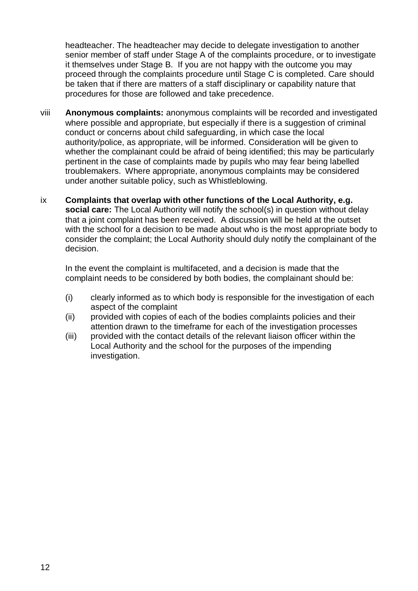headteacher. The headteacher may decide to delegate investigation to another senior member of staff under Stage A of the complaints procedure, or to investigate it themselves under Stage B. If you are not happy with the outcome you may proceed through the complaints procedure until Stage C is completed. Care should be taken that if there are matters of a staff disciplinary or capability nature that procedures for those are followed and take precedence.

- viii **Anonymous complaints:** anonymous complaints will be recorded and investigated where possible and appropriate, but especially if there is a suggestion of criminal conduct or concerns about child safeguarding, in which case the local authority/police, as appropriate, will be informed. Consideration will be given to whether the complainant could be afraid of being identified; this may be particularly pertinent in the case of complaints made by pupils who may fear being labelled troublemakers. Where appropriate, anonymous complaints may be considered under another suitable policy, such as Whistleblowing.
- ix **Complaints that overlap with other functions of the Local Authority, e.g. social care:** The Local Authority will notify the school(s) in question without delay that a joint complaint has been received. A discussion will be held at the outset with the school for a decision to be made about who is the most appropriate body to consider the complaint; the Local Authority should duly notify the complainant of the decision.

In the event the complaint is multifaceted, and a decision is made that the complaint needs to be considered by both bodies, the complainant should be:

- (i) clearly informed as to which body is responsible for the investigation of each aspect of the complaint
- (ii) provided with copies of each of the bodies complaints policies and their attention drawn to the timeframe for each of the investigation processes
- (iii) provided with the contact details of the relevant liaison officer within the Local Authority and the school for the purposes of the impending investigation.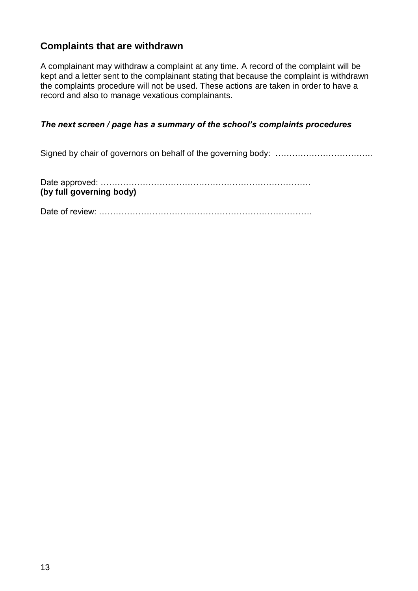## **Complaints that are withdrawn**

A complainant may withdraw a complaint at any time. A record of the complaint will be kept and a letter sent to the complainant stating that because the complaint is withdrawn the complaints procedure will not be used. These actions are taken in order to have a record and also to manage vexatious complainants.

### *The next screen / page has a summary of the school's complaints procedures*

Signed by chair of governors on behalf of the governing body: ……………………………..

| (by full governing body) |  |
|--------------------------|--|

Date of review: ………………………………………………………………….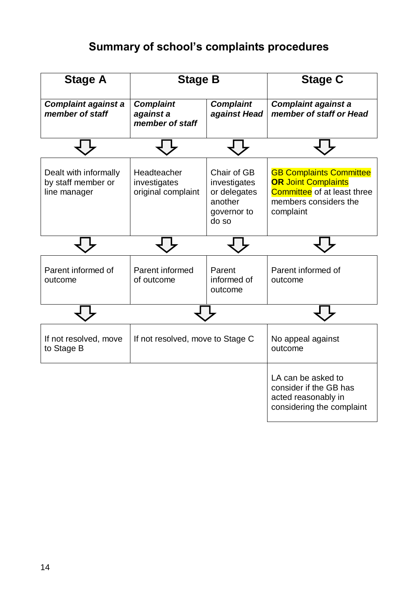## **Summary of school's complaints procedures**

| <b>Stage A</b>                                              | <b>Stage B</b>                                    |                                                                                | <b>Stage C</b>                                                                                                                           |
|-------------------------------------------------------------|---------------------------------------------------|--------------------------------------------------------------------------------|------------------------------------------------------------------------------------------------------------------------------------------|
| <b>Complaint against a</b><br>member of staff               | <b>Complaint</b><br>against a<br>member of staff  | <b>Complaint</b><br>against Head                                               | <b>Complaint against a</b><br>member of staff or Head                                                                                    |
|                                                             |                                                   |                                                                                |                                                                                                                                          |
| Dealt with informally<br>by staff member or<br>line manager | Headteacher<br>investigates<br>original complaint | Chair of GB<br>investigates<br>or delegates<br>another<br>governor to<br>do so | <b>GB Complaints Committee</b><br><b>OR Joint Complaints</b><br><b>Committee</b> of at least three<br>members considers the<br>complaint |
|                                                             |                                                   |                                                                                |                                                                                                                                          |
| Parent informed of<br>outcome                               | Parent informed<br>of outcome                     | Parent<br>informed of<br>outcome                                               | Parent informed of<br>outcome                                                                                                            |
|                                                             |                                                   |                                                                                |                                                                                                                                          |
| If not resolved, move<br>to Stage B                         | If not resolved, move to Stage C                  |                                                                                | No appeal against<br>outcome                                                                                                             |
|                                                             |                                                   |                                                                                | LA can be asked to<br>consider if the GB has<br>acted reasonably in<br>considering the complaint                                         |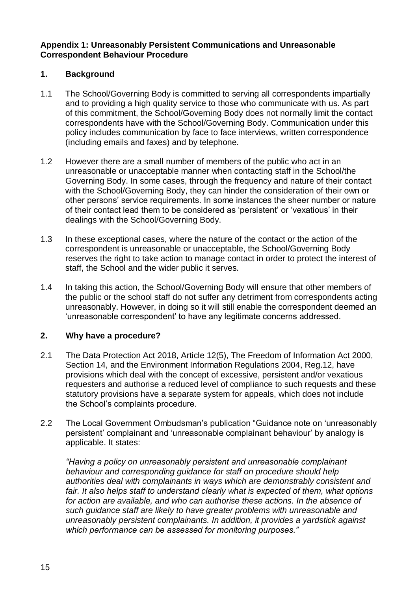### **Appendix 1: Unreasonably Persistent Communications and Unreasonable Correspondent Behaviour Procedure**

## **1. Background**

- 1.1 The School/Governing Body is committed to serving all correspondents impartially and to providing a high quality service to those who communicate with us. As part of this commitment, the School/Governing Body does not normally limit the contact correspondents have with the School/Governing Body. Communication under this policy includes communication by face to face interviews, written correspondence (including emails and faxes) and by telephone.
- 1.2 However there are a small number of members of the public who act in an unreasonable or unacceptable manner when contacting staff in the School/the Governing Body. In some cases, through the frequency and nature of their contact with the School/Governing Body, they can hinder the consideration of their own or other persons' service requirements. In some instances the sheer number or nature of their contact lead them to be considered as 'persistent' or 'vexatious' in their dealings with the School/Governing Body.
- 1.3 In these exceptional cases, where the nature of the contact or the action of the correspondent is unreasonable or unacceptable, the School/Governing Body reserves the right to take action to manage contact in order to protect the interest of staff, the School and the wider public it serves.
- 1.4 In taking this action, the School/Governing Body will ensure that other members of the public or the school staff do not suffer any detriment from correspondents acting unreasonably. However, in doing so it will still enable the correspondent deemed an 'unreasonable correspondent' to have any legitimate concerns addressed.

## **2. Why have a procedure?**

- 2.1 The Data Protection Act 2018, Article 12(5), The Freedom of Information Act 2000, Section 14, and the Environment Information Regulations 2004, Reg.12, have provisions which deal with the concept of excessive, persistent and/or vexatious requesters and authorise a reduced level of compliance to such requests and these statutory provisions have a separate system for appeals, which does not include the School's complaints procedure.
- 2.2 The Local Government Ombudsman's publication "Guidance note on 'unreasonably persistent' complainant and 'unreasonable complainant behaviour' by analogy is applicable. It states:

*"Having a policy on unreasonably persistent and unreasonable complainant behaviour and corresponding guidance for staff on procedure should help authorities deal with complainants in ways which are demonstrably consistent and fair. It also helps staff to understand clearly what is expected of them, what options for action are available, and who can authorise these actions. In the absence of such guidance staff are likely to have greater problems with unreasonable and unreasonably persistent complainants. In addition, it provides a yardstick against which performance can be assessed for monitoring purposes."*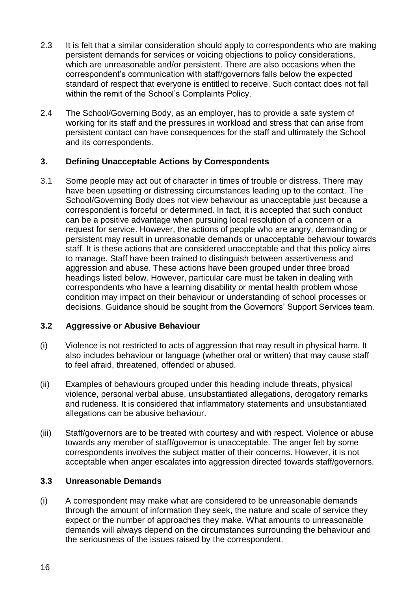- 2.3 It is felt that a similar consideration should apply to correspondents who are making persistent demands for services or voicing objections to policy considerations, which are unreasonable and/or persistent. There are also occasions when the correspondent's communication with staff/governors falls below the expected standard of respect that everyone is entitled to receive. Such contact does not fall within the remit of the School's Complaints Policy.
- 2.4 The School/Governing Body, as an employer, has to provide a safe system of working for its staff and the pressures in workload and stress that can arise from persistent contact can have consequences for the staff and ultimately the School and its correspondents.

## **3. Defining Unacceptable Actions by Correspondents**

3.1 Some people may act out of character in times of trouble or distress. There may have been upsetting or distressing circumstances leading up to the contact. The School/Governing Body does not view behaviour as unacceptable just because a correspondent is forceful or determined. In fact, it is accepted that such conduct can be a positive advantage when pursuing local resolution of a concern or a request for service. However, the actions of people who are angry, demanding or persistent may result in unreasonable demands or unacceptable behaviour towards staff. It is these actions that are considered unacceptable and that this policy aims to manage. Staff have been trained to distinguish between assertiveness and aggression and abuse. These actions have been grouped under three broad headings listed below. However, particular care must be taken in dealing with correspondents who have a learning disability or mental health problem whose condition may impact on their behaviour or understanding of school processes or decisions. Guidance should be sought from the Governors' Support Services team.

## **3.2 Aggressive or Abusive Behaviour**

- (i) Violence is not restricted to acts of aggression that may result in physical harm. It also includes behaviour or language (whether oral or written) that may cause staff to feel afraid, threatened, offended or abused.
- (ii) Examples of behaviours grouped under this heading include threats, physical violence, personal verbal abuse, unsubstantiated allegations, derogatory remarks and rudeness. It is considered that inflammatory statements and unsubstantiated allegations can be abusive behaviour.
- (iii) Staff/governors are to be treated with courtesy and with respect. Violence or abuse towards any member of staff/governor is unacceptable. The anger felt by some correspondents involves the subject matter of their concerns. However, it is not acceptable when anger escalates into aggression directed towards staff/governors.

## **3.3 Unreasonable Demands**

(i) A correspondent may make what are considered to be unreasonable demands through the amount of information they seek, the nature and scale of service they expect or the number of approaches they make. What amounts to unreasonable demands will always depend on the circumstances surrounding the behaviour and the seriousness of the issues raised by the correspondent.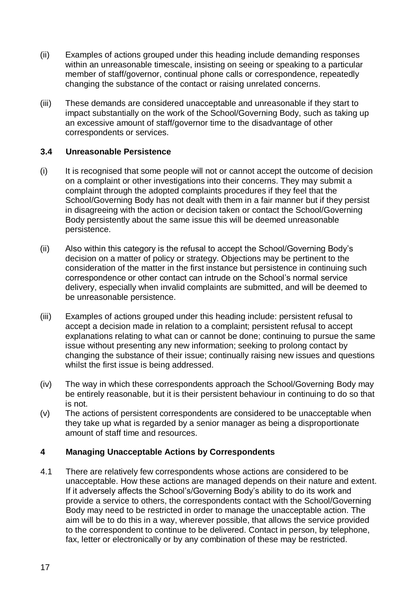- (ii) Examples of actions grouped under this heading include demanding responses within an unreasonable timescale, insisting on seeing or speaking to a particular member of staff/governor, continual phone calls or correspondence, repeatedly changing the substance of the contact or raising unrelated concerns.
- (iii) These demands are considered unacceptable and unreasonable if they start to impact substantially on the work of the School/Governing Body, such as taking up an excessive amount of staff/governor time to the disadvantage of other correspondents or services.

### **3.4 Unreasonable Persistence**

- (i) It is recognised that some people will not or cannot accept the outcome of decision on a complaint or other investigations into their concerns. They may submit a complaint through the adopted complaints procedures if they feel that the School/Governing Body has not dealt with them in a fair manner but if they persist in disagreeing with the action or decision taken or contact the School/Governing Body persistently about the same issue this will be deemed unreasonable persistence.
- (ii) Also within this category is the refusal to accept the School/Governing Body's decision on a matter of policy or strategy. Objections may be pertinent to the consideration of the matter in the first instance but persistence in continuing such correspondence or other contact can intrude on the School's normal service delivery, especially when invalid complaints are submitted, and will be deemed to be unreasonable persistence.
- (iii) Examples of actions grouped under this heading include: persistent refusal to accept a decision made in relation to a complaint; persistent refusal to accept explanations relating to what can or cannot be done; continuing to pursue the same issue without presenting any new information; seeking to prolong contact by changing the substance of their issue; continually raising new issues and questions whilst the first issue is being addressed.
- (iv) The way in which these correspondents approach the School/Governing Body may be entirely reasonable, but it is their persistent behaviour in continuing to do so that is not.
- (v) The actions of persistent correspondents are considered to be unacceptable when they take up what is regarded by a senior manager as being a disproportionate amount of staff time and resources.

## **4 Managing Unacceptable Actions by Correspondents**

4.1 There are relatively few correspondents whose actions are considered to be unacceptable. How these actions are managed depends on their nature and extent. If it adversely affects the School's/Governing Body's ability to do its work and provide a service to others, the correspondents contact with the School/Governing Body may need to be restricted in order to manage the unacceptable action. The aim will be to do this in a way, wherever possible, that allows the service provided to the correspondent to continue to be delivered. Contact in person, by telephone, fax, letter or electronically or by any combination of these may be restricted.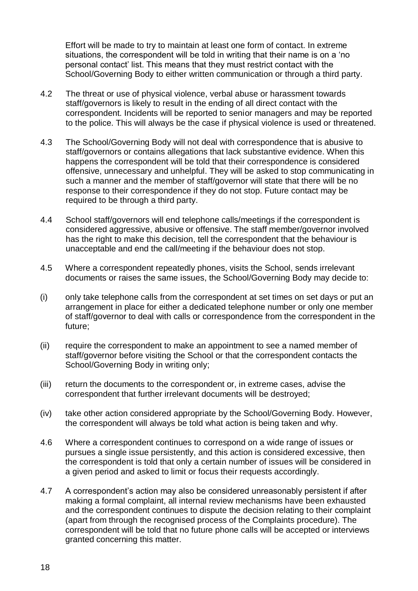Effort will be made to try to maintain at least one form of contact. In extreme situations, the correspondent will be told in writing that their name is on a 'no personal contact' list. This means that they must restrict contact with the School/Governing Body to either written communication or through a third party.

- 4.2 The threat or use of physical violence, verbal abuse or harassment towards staff/governors is likely to result in the ending of all direct contact with the correspondent. Incidents will be reported to senior managers and may be reported to the police. This will always be the case if physical violence is used or threatened.
- 4.3 The School/Governing Body will not deal with correspondence that is abusive to staff/governors or contains allegations that lack substantive evidence. When this happens the correspondent will be told that their correspondence is considered offensive, unnecessary and unhelpful. They will be asked to stop communicating in such a manner and the member of staff/governor will state that there will be no response to their correspondence if they do not stop. Future contact may be required to be through a third party.
- 4.4 School staff/governors will end telephone calls/meetings if the correspondent is considered aggressive, abusive or offensive. The staff member/governor involved has the right to make this decision, tell the correspondent that the behaviour is unacceptable and end the call/meeting if the behaviour does not stop.
- 4.5 Where a correspondent repeatedly phones, visits the School, sends irrelevant documents or raises the same issues, the School/Governing Body may decide to:
- (i) only take telephone calls from the correspondent at set times on set days or put an arrangement in place for either a dedicated telephone number or only one member of staff/governor to deal with calls or correspondence from the correspondent in the future;
- (ii) require the correspondent to make an appointment to see a named member of staff/governor before visiting the School or that the correspondent contacts the School/Governing Body in writing only;
- (iii) return the documents to the correspondent or, in extreme cases, advise the correspondent that further irrelevant documents will be destroyed;
- (iv) take other action considered appropriate by the School/Governing Body. However, the correspondent will always be told what action is being taken and why.
- 4.6 Where a correspondent continues to correspond on a wide range of issues or pursues a single issue persistently, and this action is considered excessive, then the correspondent is told that only a certain number of issues will be considered in a given period and asked to limit or focus their requests accordingly.
- 4.7 A correspondent's action may also be considered unreasonably persistent if after making a formal complaint, all internal review mechanisms have been exhausted and the correspondent continues to dispute the decision relating to their complaint (apart from through the recognised process of the Complaints procedure). The correspondent will be told that no future phone calls will be accepted or interviews granted concerning this matter.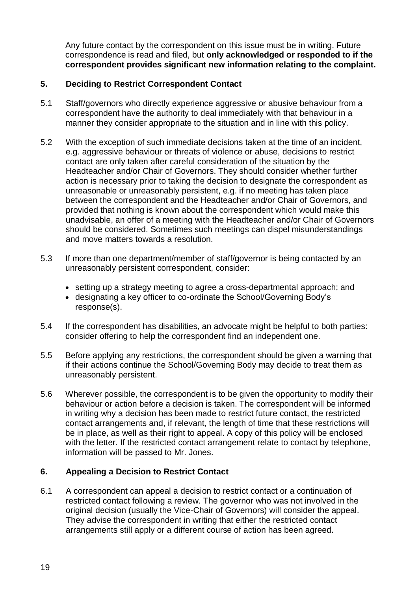Any future contact by the correspondent on this issue must be in writing. Future correspondence is read and filed, but **only acknowledged or responded to if the correspondent provides significant new information relating to the complaint.** 

## **5. Deciding to Restrict Correspondent Contact**

- 5.1 Staff/governors who directly experience aggressive or abusive behaviour from a correspondent have the authority to deal immediately with that behaviour in a manner they consider appropriate to the situation and in line with this policy.
- 5.2 With the exception of such immediate decisions taken at the time of an incident, e.g. aggressive behaviour or threats of violence or abuse, decisions to restrict contact are only taken after careful consideration of the situation by the Headteacher and/or Chair of Governors. They should consider whether further action is necessary prior to taking the decision to designate the correspondent as unreasonable or unreasonably persistent, e.g. if no meeting has taken place between the correspondent and the Headteacher and/or Chair of Governors, and provided that nothing is known about the correspondent which would make this unadvisable, an offer of a meeting with the Headteacher and/or Chair of Governors should be considered. Sometimes such meetings can dispel misunderstandings and move matters towards a resolution.
- 5.3 If more than one department/member of staff/governor is being contacted by an unreasonably persistent correspondent, consider:
	- setting up a strategy meeting to agree a cross-departmental approach; and
	- designating a key officer to co-ordinate the School/Governing Body's response(s).
- 5.4 If the correspondent has disabilities, an advocate might be helpful to both parties: consider offering to help the correspondent find an independent one.
- 5.5 Before applying any restrictions, the correspondent should be given a warning that if their actions continue the School/Governing Body may decide to treat them as unreasonably persistent.
- 5.6 Wherever possible, the correspondent is to be given the opportunity to modify their behaviour or action before a decision is taken. The correspondent will be informed in writing why a decision has been made to restrict future contact, the restricted contact arrangements and, if relevant, the length of time that these restrictions will be in place, as well as their right to appeal. A copy of this policy will be enclosed with the letter. If the restricted contact arrangement relate to contact by telephone, information will be passed to Mr. Jones.

## **6. Appealing a Decision to Restrict Contact**

6.1 A correspondent can appeal a decision to restrict contact or a continuation of restricted contact following a review. The governor who was not involved in the original decision (usually the Vice-Chair of Governors) will consider the appeal. They advise the correspondent in writing that either the restricted contact arrangements still apply or a different course of action has been agreed.